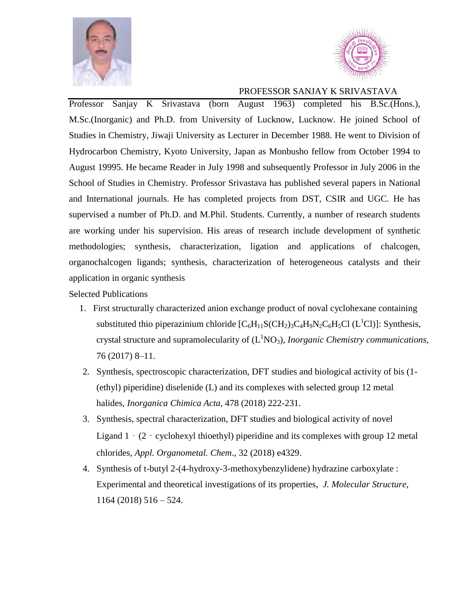



## PROFESSOR SANJAY K SRIVASTAVA

Professor Sanjay K Srivastava (born August 1963) completed his B.Sc.(Hons.), M.Sc.(Inorganic) and Ph.D. from University of Lucknow, Lucknow. He joined School of Studies in Chemistry, Jiwaji University as Lecturer in December 1988. He went to Division of Hydrocarbon Chemistry, Kyoto University, Japan as Monbusho fellow from October 1994 to August 19995. He became Reader in July 1998 and subsequently Professor in July 2006 in the School of Studies in Chemistry. Professor Srivastava has published several papers in National and International journals. He has completed projects from DST, CSIR and UGC. He has supervised a number of Ph.D. and M.Phil. Students. Currently, a number of research students are working under his supervision. His areas of research include development of synthetic methodologies; synthesis, characterization, ligation and applications of chalcogen, organochalcogen ligands; synthesis, characterization of heterogeneous catalysts and their application in organic synthesis

## Selected Publications

- 1. First structurally characterized anion exchange product of noval cyclohexane containing substituted thio piperazinium chloride  $[C_6H_{11}S(CH_2)_3C_4H_9N_2C_6H_5Cl (L^1Cl)]$ : Synthesis, crystal structure and supramolecularity of  $(L^1NO_3)$ , *Inorganic Chemistry communications*, 76 (2017) 8–11.
- 2. Synthesis, spectroscopic characterization, DFT studies and biological activity of bis (1- (ethyl) piperidine) diselenide (L) and its complexes with selected group 12 metal halides, *Inorganica Chimica Acta*, 478 (2018) 222-231.
- 3. Synthesis, spectral characterization, DFT studies and biological activity of novel Ligand 1 - (2 - cyclohexyl thioethyl) piperidine and its complexes with group 12 metal chlorides, *Appl. Organometal. Chem*., 32 (2018) e4329.
- 4. Synthesis of t-butyl 2-(4-hydroxy-3-methoxybenzylidene) hydrazine carboxylate : Experimental and theoretical investigations of its properties, *J. Molecular Structure*, 1164 (2018) 516 – 524.